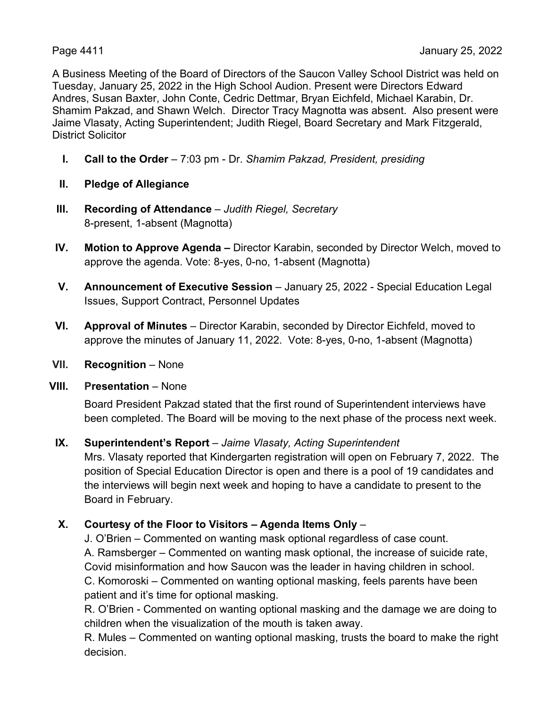A Business Meeting of the Board of Directors of the Saucon Valley School District was held on Tuesday, January 25, 2022 in the High School Audion. Present were Directors Edward Andres, Susan Baxter, John Conte, Cedric Dettmar, Bryan Eichfeld, Michael Karabin, Dr. Shamim Pakzad, and Shawn Welch. Director Tracy Magnotta was absent. Also present were Jaime Vlasaty, Acting Superintendent; Judith Riegel, Board Secretary and Mark Fitzgerald, District Solicitor

- **I. Call to the Order** 7:03 pm Dr. *Shamim Pakzad, President, presiding*
- **II. Pledge of Allegiance**
- **III. Recording of Attendance** *Judith Riegel, Secretary* 8-present, 1-absent (Magnotta)
- **IV. Motion to Approve Agenda** Director Karabin, seconded by Director Welch, moved to approve the agenda. Vote: 8-yes, 0-no, 1-absent (Magnotta)
- **V. Announcement of Executive Session** January 25, 2022 Special Education Legal Issues, Support Contract, Personnel Updates
- **VI. Approval of Minutes** Director Karabin, seconded by Director Eichfeld, moved to approve the minutes of January 11, 2022. Vote: 8-yes, 0-no, 1-absent (Magnotta)
- **VII.** Recognition None

## **VIII. Presentation** – None

Board President Pakzad stated that the first round of Superintendent interviews have been completed. The Board will be moving to the next phase of the process next week.

# **IX. Superintendent's Report** – *Jaime Vlasaty, Acting Superintendent*

Mrs. Vlasaty reported that Kindergarten registration will open on February 7, 2022. The position of Special Education Director is open and there is a pool of 19 candidates and the interviews will begin next week and hoping to have a candidate to present to the Board in February.

# **X. Courtesy of the Floor to Visitors – Agenda Items Only** –

J. O'Brien – Commented on wanting mask optional regardless of case count. A. Ramsberger – Commented on wanting mask optional, the increase of suicide rate, Covid misinformation and how Saucon was the leader in having children in school. C. Komoroski – Commented on wanting optional masking, feels parents have been patient and it's time for optional masking.

R. O'Brien - Commented on wanting optional masking and the damage we are doing to children when the visualization of the mouth is taken away.

R. Mules – Commented on wanting optional masking, trusts the board to make the right decision.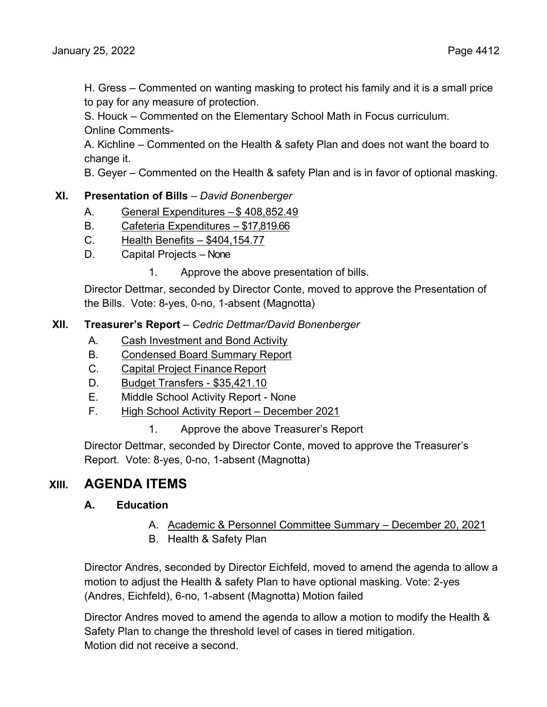H. Gress – Commented on wanting masking to protect his family and it is a small price to pay for any measure of protection.

S. Houck – Commented on the Elementary School Math in Focus curriculum. Online Comments-

A. Kichline – Commented on the Health & safety Plan and does not want the board to change it.

B. Geyer – Commented on the Health & safety Plan and is in favor of optional masking.

# **XI. Presentation of Bills** – *David Bonenberger*

- A. General Expenditures \$ 408,852.49
- B. Cafeteria Expenditures \$17,819.66
- C. Health Benefits \$404,154.77
- D. Capital Projects None
	- 1. Approve the above presentation of bills.

Director Dettmar, seconded by Director Conte, moved to approve the Presentation of the Bills. Vote: 8-yes, 0-no, 1-absent (Magnotta)

## **XII. Treasurer's Report** – *Cedric Dettmar/David Bonenberger*

- A. Cash Investment and Bond Activity
- B. Condensed Board Summary Report
- C. Capital Project Finance Report
- D. Budget Transfers \$35,421.10
- E. Middle School Activity Report None
- F. High School Activity Report December 2021
	- 1. Approve the above Treasurer's Report

Director Dettmar, seconded by Director Conte, moved to approve the Treasurer's Report. Vote: 8-yes, 0-no, 1-absent (Magnotta)

# **XIII. AGENDA ITEMS**

## **A. Education**

- A. Academic & Personnel Committee Summary December 20, 2021
- B. Health & Safety Plan

Director Andres, seconded by Director Eichfeld, moved to amend the agenda to allow a motion to adjust the Health & safety Plan to have optional masking. Vote: 2-yes (Andres, Eichfeld), 6-no, 1-absent (Magnotta) Motion failed

Director Andres moved to amend the agenda to allow a motion to modify the Health & Safety Plan to change the threshold level of cases in tiered mitigation. Motion did not receive a second.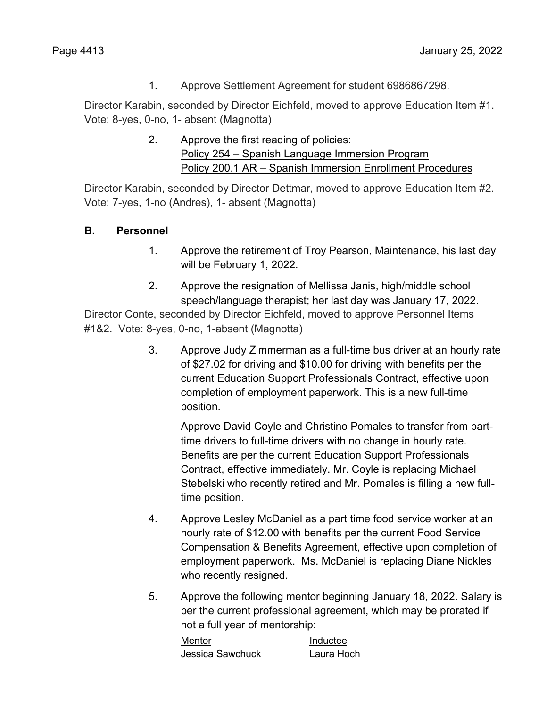1. Approve Settlement Agreement for student 6986867298.

Director Karabin, seconded by Director Eichfeld, moved to approve Education Item #1. Vote: 8-yes, 0-no, 1- absent (Magnotta)

> 2. Approve the first reading of policies: Policy 254 – Spanish Language Immersion Program Policy 200.1 AR – Spanish Immersion Enrollment Procedures

Director Karabin, seconded by Director Dettmar, moved to approve Education Item #2. Vote: 7-yes, 1-no (Andres), 1- absent (Magnotta)

# **B. Personnel**

- 1. Approve the retirement of Troy Pearson, Maintenance, his last day will be February 1, 2022.
- 2. Approve the resignation of Mellissa Janis, high/middle school speech/language therapist; her last day was January 17, 2022.

Director Conte, seconded by Director Eichfeld, moved to approve Personnel Items #1&2. Vote: 8-yes, 0-no, 1-absent (Magnotta)

> 3. Approve Judy Zimmerman as a full-time bus driver at an hourly rate of \$27.02 for driving and \$10.00 for driving with benefits per the current Education Support Professionals Contract, effective upon completion of employment paperwork. This is a new full-time position.

Approve David Coyle and Christino Pomales to transfer from parttime drivers to full-time drivers with no change in hourly rate. Benefits are per the current Education Support Professionals Contract, effective immediately. Mr. Coyle is replacing Michael Stebelski who recently retired and Mr. Pomales is filling a new fulltime position.

- 4. Approve Lesley McDaniel as a part time food service worker at an hourly rate of \$12.00 with benefits per the current Food Service Compensation & Benefits Agreement, effective upon completion of employment paperwork. Ms. McDaniel is replacing Diane Nickles who recently resigned.
- 5. Approve the following mentor beginning January 18, 2022. Salary is per the current professional agreement, which may be prorated if not a full year of mentorship:

| Mentor           | Inductee   |
|------------------|------------|
| Jessica Sawchuck | Laura Hoch |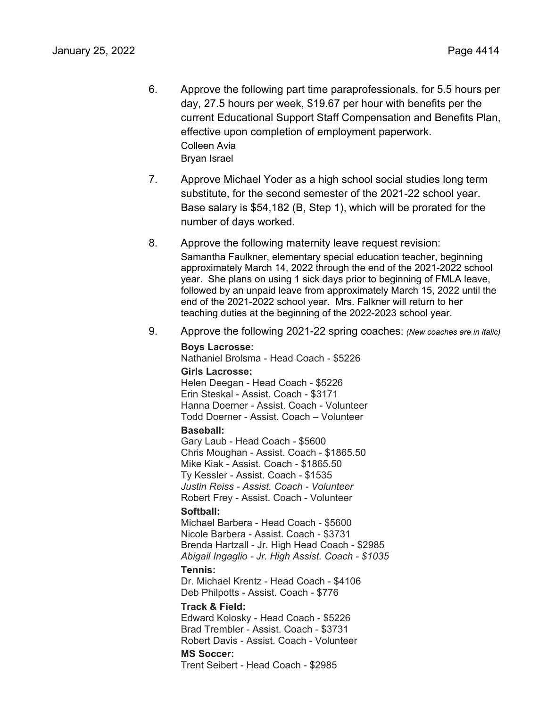- 6. Approve the following part time paraprofessionals, for 5.5 hours per day, 27.5 hours per week, \$19.67 per hour with benefits per the current Educational Support Staff Compensation and Benefits Plan, effective upon completion of employment paperwork. Colleen Avia Bryan Israel
- 7. Approve Michael Yoder as a high school social studies long term substitute, for the second semester of the 2021-22 school year. Base salary is \$54,182 (B, Step 1), which will be prorated for the number of days worked.
- 8. Approve the following maternity leave request revision:

Samantha Faulkner, elementary special education teacher, beginning approximately March 14, 2022 through the end of the 2021-2022 school year. She plans on using 1 sick days prior to beginning of FMLA leave, followed by an unpaid leave from approximately March 15, 2022 until the end of the 2021-2022 school year. Mrs. Falkner will return to her teaching duties at the beginning of the 2022-2023 school year.

9. Approve the following 2021-22 spring coaches: *(New coaches are in italic)* 

#### **Boys Lacrosse:**

Nathaniel Brolsma - Head Coach - \$5226

#### **Girls Lacrosse:**

Helen Deegan - Head Coach - \$5226 Erin Steskal - Assist. Coach - \$3171 Hanna Doerner - Assist. Coach - Volunteer Todd Doerner - Assist. Coach – Volunteer

#### **Baseball:**

Gary Laub - Head Coach - \$5600 Chris Moughan - Assist. Coach - \$1865.50 Mike Kiak - Assist. Coach - \$1865.50 Ty Kessler - Assist. Coach - \$1535 *Justin Reiss - Assist. Coach - Volunteer* Robert Frey - Assist. Coach - Volunteer **Softball:**

Michael Barbera - Head Coach - \$5600 Nicole Barbera - Assist. Coach - \$3731 Brenda Hartzall - Jr. High Head Coach - \$2985 *Abigail Ingaglio - Jr. High Assist. Coach - \$1035* 

#### **Tennis:**

Dr. Michael Krentz - Head Coach - \$4106 Deb Philpotts - Assist. Coach - \$776

#### **Track & Field:**

Edward Kolosky - Head Coach - \$5226 Brad Trembler - Assist. Coach - \$3731 Robert Davis - Assist. Coach - Volunteer **MS Soccer:**

Trent Seibert - Head Coach - \$2985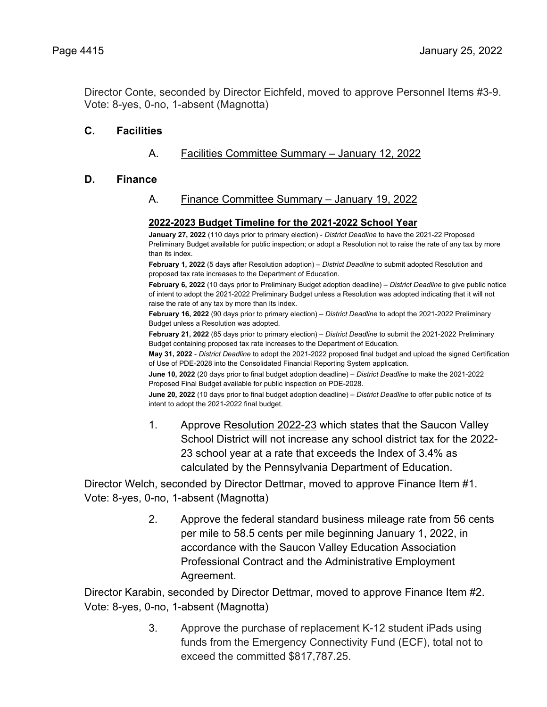Director Conte, seconded by Director Eichfeld, moved to approve Personnel Items #3-9. Vote: 8-yes, 0-no, 1-absent (Magnotta)

## **C. Facilities**

# A. Facilities Committee Summary – January 12, 2022

#### **D. Finance**

## A. Finance Committee Summary – January 19, 2022

#### **2022-2023 Budget Timeline for the 2021-2022 School Year**

**January 27, 2022** (110 days prior to primary election) - *District Deadline* to have the 2021-22 Proposed Preliminary Budget available for public inspection; or adopt a Resolution not to raise the rate of any tax by more than its index.

**February 1, 2022** (5 days after Resolution adoption) – *District Deadline* to submit adopted Resolution and proposed tax rate increases to the Department of Education.

**February 6, 2022** (10 days prior to Preliminary Budget adoption deadline) – *District Deadline* to give public notice of intent to adopt the 2021-2022 Preliminary Budget unless a Resolution was adopted indicating that it will not raise the rate of any tax by more than its index.

**February 16, 2022** (90 days prior to primary election) – *District Deadline* to adopt the 2021-2022 Preliminary Budget unless a Resolution was adopted.

**February 21, 2022** (85 days prior to primary election) – *District Deadline* to submit the 2021-2022 Preliminary Budget containing proposed tax rate increases to the Department of Education.

**May 31, 2022** - *District Deadline* to adopt the 2021-2022 proposed final budget and upload the signed Certification of Use of PDE-2028 into the Consolidated Financial Reporting System application.

**June 10, 2022** (20 days prior to final budget adoption deadline) – *District Deadline* to make the 2021-2022 Proposed Final Budget available for public inspection on PDE-2028.

**June 20, 2022** (10 days prior to final budget adoption deadline) – *District Deadline* to offer public notice of its intent to adopt the 2021-2022 final budget.

1. Approve Resolution 2022-23 which states that the Saucon Valley School District will not increase any school district tax for the 2022- 23 school year at a rate that exceeds the Index of 3.4% as calculated by the Pennsylvania Department of Education.

Director Welch, seconded by Director Dettmar, moved to approve Finance Item #1. Vote: 8-yes, 0-no, 1-absent (Magnotta)

> 2. Approve the federal standard business mileage rate from 56 cents per mile to 58.5 cents per mile beginning January 1, 2022, in accordance with the Saucon Valley Education Association Professional Contract and the Administrative Employment Agreement.

Director Karabin, seconded by Director Dettmar, moved to approve Finance Item #2. Vote: 8-yes, 0-no, 1-absent (Magnotta)

> 3. Approve the purchase of replacement K-12 student iPads using funds from the Emergency Connectivity Fund (ECF), total not to exceed the committed \$817,787.25.